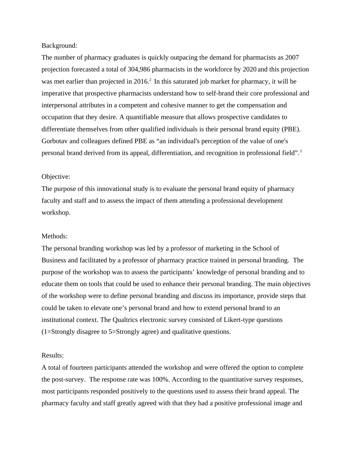## Background:

The number of pharmacy graduates is quickly outpacing the demand for pharmacists as 2007 projection forecasted a total of 304,986 pharmacists in the workforce by 2020 and this projection was met earlier than projected in  $2016<sup>2</sup>$  In this saturated job market for pharmacy, it will be imperative that prospective pharmacists understand how to self-brand their core professional and interpersonal attributes in a competent and cohesive manner to get the compensation and occupation that they desire. A quantifiable measure that allows prospective candidates to differentiate themselves from other qualified individuals is their personal brand equity (PBE). Gorbotav and colleagues defined PBE as "an individual's perception of the value of one's personal brand derived from its appeal, differentiation, and recognition in professional field".<sup>3</sup>

## Objective:

The purpose of this innovational study is to evaluate the personal brand equity of pharmacy faculty and staff and to assess the impact of them attending a professional development workshop.

## Methods:

The personal branding workshop was led by a professor of marketing in the School of Business and facilitated by a professor of pharmacy practice trained in personal branding. The purpose of the workshop was to assess the participants' knowledge of personal branding and to educate them on tools that could be used to enhance their personal branding. The main objectives of the workshop were to define personal branding and discuss its importance, provide steps that could be taken to elevate one's personal brand and how to extend personal brand to an institutional context. The Qualtrics electronic survey consisted of Likert-type questions (1=Strongly disagree to 5=Strongly agree) and qualitative questions.

## Results:

A total of fourteen participants attended the workshop and were offered the option to complete the post-survey. The response rate was 100%. According to the quantitative survey responses, most participants responded positively to the questions used to assess their brand appeal. The pharmacy faculty and staff greatly agreed with that they had a positive professional image and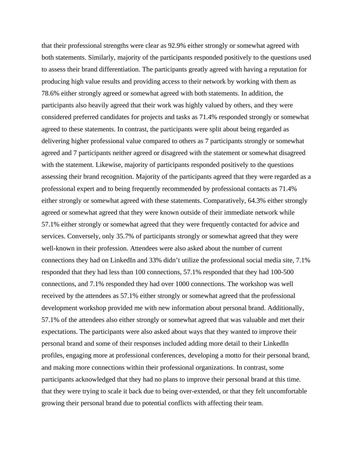that their professional strengths were clear as 92.9% either strongly or somewhat agreed with both statements. Similarly, majority of the participants responded positively to the questions used to assess their brand differentiation. The participants greatly agreed with having a reputation for producing high value results and providing access to their network by working with them as 78.6% either strongly agreed or somewhat agreed with both statements. In addition, the participants also heavily agreed that their work was highly valued by others, and they were considered preferred candidates for projects and tasks as 71.4% responded strongly or somewhat agreed to these statements. In contrast, the participants were split about being regarded as delivering higher professional value compared to others as 7 participants strongly or somewhat agreed and 7 participants neither agreed or disagreed with the statement or somewhat disagreed with the statement. Likewise, majority of participants responded positively to the questions assessing their brand recognition. Majority of the participants agreed that they were regarded as a professional expert and to being frequently recommended by professional contacts as 71.4% either strongly or somewhat agreed with these statements. Comparatively, 64.3% either strongly agreed or somewhat agreed that they were known outside of their immediate network while 57.1% either strongly or somewhat agreed that they were frequently contacted for advice and services. Conversely, only 35.7% of participants strongly or somewhat agreed that they were well-known in their profession. Attendees were also asked about the number of current connections they had on LinkedIn and 33% didn't utilize the professional social media site, 7.1% responded that they had less than 100 connections, 57.1% responded that they had 100-500 connections, and 7.1% responded they had over 1000 connections. The workshop was well received by the attendees as 57.1% either strongly or somewhat agreed that the professional development workshop provided me with new information about personal brand. Additionally, 57.1% of the attendees also either strongly or somewhat agreed that was valuable and met their expectations. The participants were also asked about ways that they wanted to improve their personal brand and some of their responses included adding more detail to their LinkedIn profiles, engaging more at professional conferences, developing a motto for their personal brand, and making more connections within their professional organizations. In contrast, some participants acknowledged that they had no plans to improve their personal brand at this time. that they were trying to scale it back due to being over-extended, or that they felt uncomfortable growing their personal brand due to potential conflicts with affecting their team.